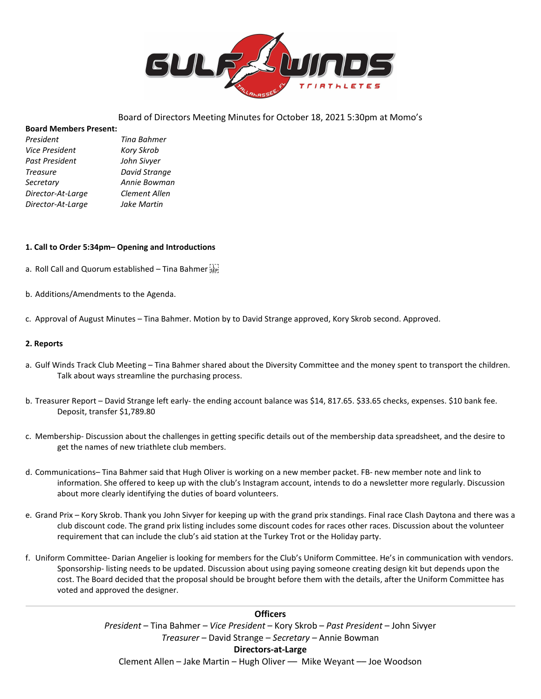

# Board of Directors Meeting Minutes for October 18, 2021 5:30pm at Momo's

#### **Board Members Present:**

| President             | Tina Bahmer   |
|-----------------------|---------------|
| <b>Vice President</b> | Kory Skrob    |
| Past President        | John Sivyer   |
| <b>Treasure</b>       | David Strange |
| Secretary             | Annie Bowman  |
| Director-At-Large     | Clement Allen |
| Director-At-Large     | Jake Martin   |

### **1. Call to Order 5:34pm– Opening and Introductions**

- a. Roll Call and Quorum established Tina Bahmer
- b. Additions/Amendments to the Agenda.
- c. Approval of August Minutes Tina Bahmer. Motion by to David Strange approved, Kory Skrob second. Approved.

### **2. Reports**

- a. Gulf Winds Track Club Meeting Tina Bahmer shared about the Diversity Committee and the money spent to transport the children. Talk about ways streamline the purchasing process.
- b. Treasurer Report David Strange left early- the ending account balance was \$14, 817.65. \$33.65 checks, expenses. \$10 bank fee. Deposit, transfer \$1,789.80
- c. Membership- Discussion about the challenges in getting specific details out of the membership data spreadsheet, and the desire to get the names of new triathlete club members.
- d. Communications– Tina Bahmer said that Hugh Oliver is working on a new member packet. FB- new member note and link to information. She offered to keep up with the club's Instagram account, intends to do a newsletter more regularly. Discussion about more clearly identifying the duties of board volunteers.
- e. Grand Prix Kory Skrob. Thank you John Sivyer for keeping up with the grand prix standings. Final race Clash Daytona and there was a club discount code. The grand prix listing includes some discount codes for races other races. Discussion about the volunteer requirement that can include the club's aid station at the Turkey Trot or the Holiday party.
- f. Uniform Committee- Darian Angelier is looking for members for the Club's Uniform Committee. He's in communication with vendors. Sponsorship- listing needs to be updated. Discussion about using paying someone creating design kit but depends upon the cost. The Board decided that the proposal should be brought before them with the details, after the Uniform Committee has voted and approved the designer.

**Officers** *President* – Tina Bahmer – *Vice President* – Kory Skrob – *Past President* – John Sivyer *Treasurer* – David Strange – *Secretary –* Annie Bowman **Directors-at-Large** Clement Allen – Jake Martin – Hugh Oliver –– Mike Weyant –– Joe Woodson